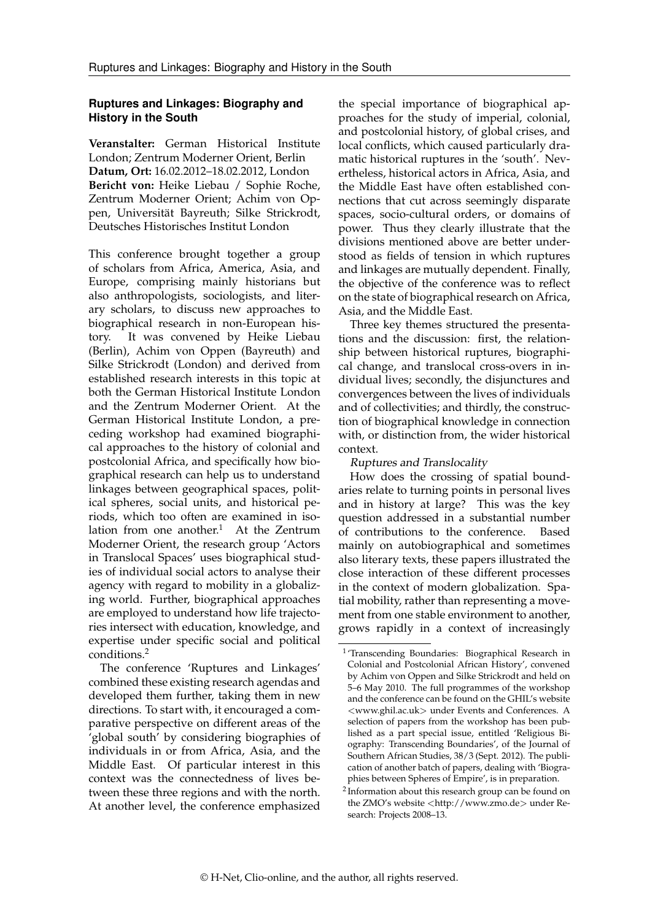### **Ruptures and Linkages: Biography and History in the South**

**Veranstalter:** German Historical Institute London; Zentrum Moderner Orient, Berlin **Datum, Ort:** 16.02.2012–18.02.2012, London **Bericht von:** Heike Liebau / Sophie Roche, Zentrum Moderner Orient; Achim von Oppen, Universität Bayreuth; Silke Strickrodt, Deutsches Historisches Institut London

This conference brought together a group of scholars from Africa, America, Asia, and Europe, comprising mainly historians but also anthropologists, sociologists, and literary scholars, to discuss new approaches to biographical research in non-European history. It was convened by Heike Liebau (Berlin), Achim von Oppen (Bayreuth) and Silke Strickrodt (London) and derived from established research interests in this topic at both the German Historical Institute London and the Zentrum Moderner Orient. At the German Historical Institute London, a preceding workshop had examined biographical approaches to the history of colonial and postcolonial Africa, and specifically how biographical research can help us to understand linkages between geographical spaces, political spheres, social units, and historical periods, which too often are examined in iso-lation from one another.<sup>[1](#page-0-0)</sup> At the Zentrum Moderner Orient, the research group 'Actors in Translocal Spaces' uses biographical studies of individual social actors to analyse their agency with regard to mobility in a globalizing world. Further, biographical approaches are employed to understand how life trajectories intersect with education, knowledge, and expertise under specific social and political conditions.[2](#page-0-1)

The conference 'Ruptures and Linkages' combined these existing research agendas and developed them further, taking them in new directions. To start with, it encouraged a comparative perspective on different areas of the 'global south' by considering biographies of individuals in or from Africa, Asia, and the Middle East. Of particular interest in this context was the connectedness of lives between these three regions and with the north. At another level, the conference emphasized

the special importance of biographical approaches for the study of imperial, colonial, and postcolonial history, of global crises, and local conflicts, which caused particularly dramatic historical ruptures in the 'south'. Nevertheless, historical actors in Africa, Asia, and the Middle East have often established connections that cut across seemingly disparate spaces, socio-cultural orders, or domains of power. Thus they clearly illustrate that the divisions mentioned above are better understood as fields of tension in which ruptures and linkages are mutually dependent. Finally, the objective of the conference was to reflect on the state of biographical research on Africa, Asia, and the Middle East.

Three key themes structured the presentations and the discussion: first, the relationship between historical ruptures, biographical change, and translocal cross-overs in individual lives; secondly, the disjunctures and convergences between the lives of individuals and of collectivities; and thirdly, the construction of biographical knowledge in connection with, or distinction from, the wider historical context.

#### Ruptures and Translocality

How does the crossing of spatial boundaries relate to turning points in personal lives and in history at large? This was the key question addressed in a substantial number of contributions to the conference. Based mainly on autobiographical and sometimes also literary texts, these papers illustrated the close interaction of these different processes in the context of modern globalization. Spatial mobility, rather than representing a movement from one stable environment to another, grows rapidly in a context of increasingly

<span id="page-0-0"></span><sup>&</sup>lt;sup>1</sup> 'Transcending Boundaries: Biographical Research in Colonial and Postcolonial African History', convened by Achim von Oppen and Silke Strickrodt and held on 5–6 May 2010. The full programmes of the workshop and the conference can be found on the GHIL's website <www.ghil.ac.uk> under Events and Conferences. A selection of papers from the workshop has been published as a part special issue, entitled 'Religious Biography: Transcending Boundaries', of the Journal of Southern African Studies, 38/3 (Sept. 2012). The publication of another batch of papers, dealing with 'Biographies between Spheres of Empire', is in preparation.

<span id="page-0-1"></span><sup>&</sup>lt;sup>2</sup> Information about this research group can be found on the ZMO's website <[http://www.zmo.de](http://www.zmo.de/)> under Research: Projects 2008–13.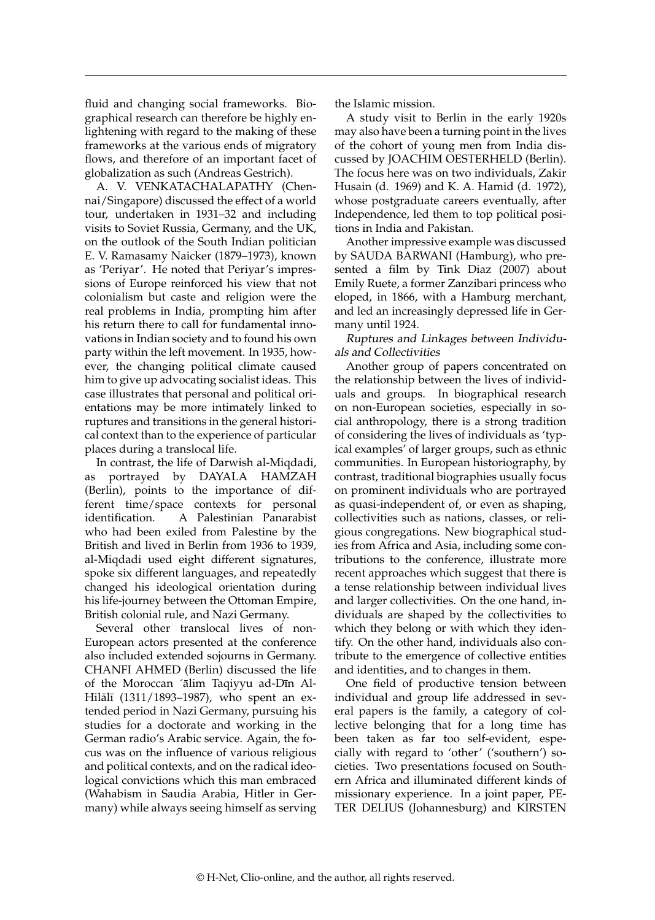fluid and changing social frameworks. Biographical research can therefore be highly enlightening with regard to the making of these frameworks at the various ends of migratory flows, and therefore of an important facet of globalization as such (Andreas Gestrich).

A. V. VENKATACHALAPATHY (Chennai/Singapore) discussed the effect of a world tour, undertaken in 1931–32 and including visits to Soviet Russia, Germany, and the UK, on the outlook of the South Indian politician E. V. Ramasamy Naicker (1879–1973), known as 'Periyar'. He noted that Periyar's impressions of Europe reinforced his view that not colonialism but caste and religion were the real problems in India, prompting him after his return there to call for fundamental innovations in Indian society and to found his own party within the left movement. In 1935, however, the changing political climate caused him to give up advocating socialist ideas. This case illustrates that personal and political orientations may be more intimately linked to ruptures and transitions in the general historical context than to the experience of particular places during a translocal life.

In contrast, the life of Darwish al-Miqdadi, portrayed by DAYALA HAMZAH (Berlin), points to the importance of different time/space contexts for personal<br>identification. A Palestinian Panarabist A Palestinian Panarabist who had been exiled from Palestine by the British and lived in Berlin from 1936 to 1939, al-Miqdadi used eight different signatures, spoke six different languages, and repeatedly changed his ideological orientation during his life-journey between the Ottoman Empire, British colonial rule, and Nazi Germany.

Several other translocal lives of non-European actors presented at the conference also included extended sojourns in Germany. CHANFI AHMED (Berlin) discussed the life of the Moroccan 'ālim Taqiyyu ad-Dīn Al-Hilālī (1311/1893-1987), who spent an extended period in Nazi Germany, pursuing his studies for a doctorate and working in the German radio's Arabic service. Again, the focus was on the influence of various religious and political contexts, and on the radical ideological convictions which this man embraced (Wahabism in Saudia Arabia, Hitler in Germany) while always seeing himself as serving the Islamic mission.

A study visit to Berlin in the early 1920s may also have been a turning point in the lives of the cohort of young men from India discussed by JOACHIM OESTERHELD (Berlin). The focus here was on two individuals, Zakir Husain (d. 1969) and K. A. Hamid (d. 1972), whose postgraduate careers eventually, after Independence, led them to top political positions in India and Pakistan.

Another impressive example was discussed by SAUDA BARWANI (Hamburg), who presented a film by Tink Diaz (2007) about Emily Ruete, a former Zanzibari princess who eloped, in 1866, with a Hamburg merchant, and led an increasingly depressed life in Germany until 1924.

Ruptures and Linkages between Individuals and Collectivities

Another group of papers concentrated on the relationship between the lives of individuals and groups. In biographical research on non-European societies, especially in social anthropology, there is a strong tradition of considering the lives of individuals as 'typical examples' of larger groups, such as ethnic communities. In European historiography, by contrast, traditional biographies usually focus on prominent individuals who are portrayed as quasi-independent of, or even as shaping, collectivities such as nations, classes, or religious congregations. New biographical studies from Africa and Asia, including some contributions to the conference, illustrate more recent approaches which suggest that there is a tense relationship between individual lives and larger collectivities. On the one hand, individuals are shaped by the collectivities to which they belong or with which they identify. On the other hand, individuals also contribute to the emergence of collective entities and identities, and to changes in them.

One field of productive tension between individual and group life addressed in several papers is the family, a category of collective belonging that for a long time has been taken as far too self-evident, especially with regard to 'other' ('southern') societies. Two presentations focused on Southern Africa and illuminated different kinds of missionary experience. In a joint paper, PE-TER DELIUS (Johannesburg) and KIRSTEN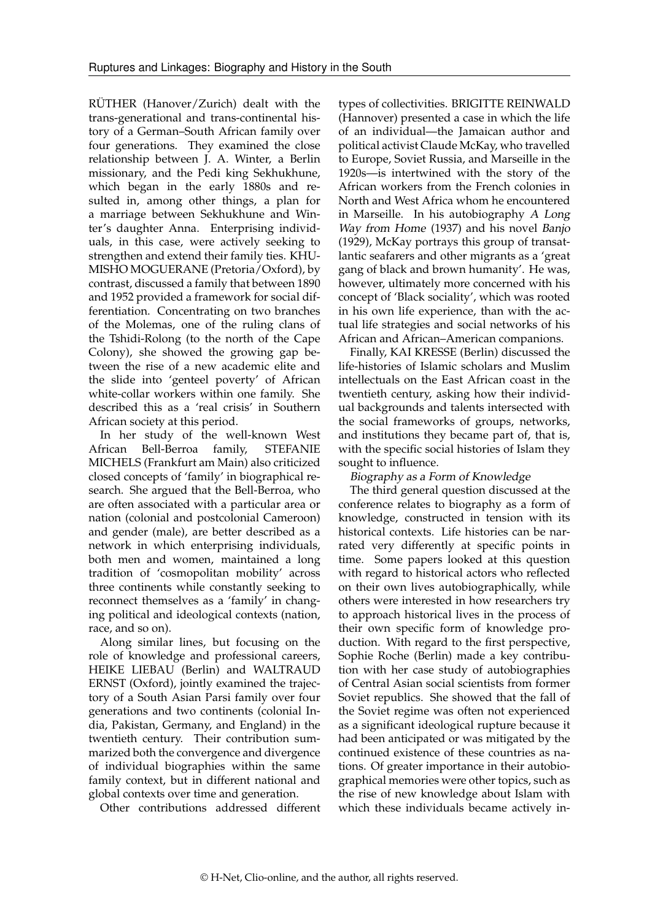RÜTHER (Hanover/Zurich) dealt with the trans-generational and trans-continental history of a German–South African family over four generations. They examined the close relationship between J. A. Winter, a Berlin missionary, and the Pedi king Sekhukhune, which began in the early 1880s and resulted in, among other things, a plan for a marriage between Sekhukhune and Winter's daughter Anna. Enterprising individuals, in this case, were actively seeking to strengthen and extend their family ties. KHU-MISHO MOGUERANE (Pretoria/Oxford), by contrast, discussed a family that between 1890 and 1952 provided a framework for social differentiation. Concentrating on two branches of the Molemas, one of the ruling clans of the Tshidi-Rolong (to the north of the Cape Colony), she showed the growing gap between the rise of a new academic elite and the slide into 'genteel poverty' of African white-collar workers within one family. She described this as a 'real crisis' in Southern African society at this period.

In her study of the well-known West Bell-Berroa family, STEFANIE MICHELS (Frankfurt am Main) also criticized closed concepts of 'family' in biographical research. She argued that the Bell-Berroa, who are often associated with a particular area or nation (colonial and postcolonial Cameroon) and gender (male), are better described as a network in which enterprising individuals, both men and women, maintained a long tradition of 'cosmopolitan mobility' across three continents while constantly seeking to reconnect themselves as a 'family' in changing political and ideological contexts (nation, race, and so on).

Along similar lines, but focusing on the role of knowledge and professional careers, HEIKE LIEBAU (Berlin) and WALTRAUD ERNST (Oxford), jointly examined the trajectory of a South Asian Parsi family over four generations and two continents (colonial India, Pakistan, Germany, and England) in the twentieth century. Their contribution summarized both the convergence and divergence of individual biographies within the same family context, but in different national and global contexts over time and generation.

Other contributions addressed different

types of collectivities. BRIGITTE REINWALD (Hannover) presented a case in which the life of an individual—the Jamaican author and political activist Claude McKay, who travelled to Europe, Soviet Russia, and Marseille in the 1920s—is intertwined with the story of the African workers from the French colonies in North and West Africa whom he encountered in Marseille. In his autobiography A Long Way from Home (1937) and his novel Banjo (1929), McKay portrays this group of transatlantic seafarers and other migrants as a 'great gang of black and brown humanity'. He was, however, ultimately more concerned with his concept of 'Black sociality', which was rooted in his own life experience, than with the actual life strategies and social networks of his African and African–American companions.

Finally, KAI KRESSE (Berlin) discussed the life-histories of Islamic scholars and Muslim intellectuals on the East African coast in the twentieth century, asking how their individual backgrounds and talents intersected with the social frameworks of groups, networks, and institutions they became part of, that is, with the specific social histories of Islam they sought to influence.

Biography as a Form of Knowledge

The third general question discussed at the conference relates to biography as a form of knowledge, constructed in tension with its historical contexts. Life histories can be narrated very differently at specific points in time. Some papers looked at this question with regard to historical actors who reflected on their own lives autobiographically, while others were interested in how researchers try to approach historical lives in the process of their own specific form of knowledge production. With regard to the first perspective, Sophie Roche (Berlin) made a key contribution with her case study of autobiographies of Central Asian social scientists from former Soviet republics. She showed that the fall of the Soviet regime was often not experienced as a significant ideological rupture because it had been anticipated or was mitigated by the continued existence of these countries as nations. Of greater importance in their autobiographical memories were other topics, such as the rise of new knowledge about Islam with which these individuals became actively in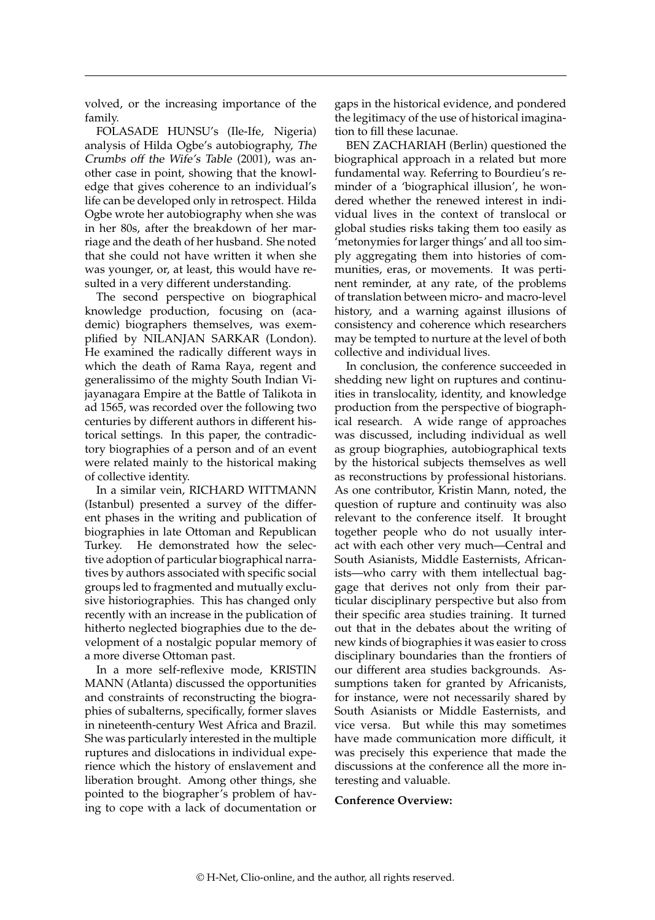volved, or the increasing importance of the family.

FOLASADE HUNSU's (Ile-Ife, Nigeria) analysis of Hilda Ogbe's autobiography, The Crumbs off the Wife's Table (2001), was another case in point, showing that the knowledge that gives coherence to an individual's life can be developed only in retrospect. Hilda Ogbe wrote her autobiography when she was in her 80s, after the breakdown of her marriage and the death of her husband. She noted that she could not have written it when she was younger, or, at least, this would have resulted in a very different understanding.

The second perspective on biographical knowledge production, focusing on (academic) biographers themselves, was exemplified by NILANJAN SARKAR (London). He examined the radically different ways in which the death of Rama Raya, regent and generalissimo of the mighty South Indian Vijayanagara Empire at the Battle of Talikota in ad 1565, was recorded over the following two centuries by different authors in different historical settings. In this paper, the contradictory biographies of a person and of an event were related mainly to the historical making of collective identity.

In a similar vein, RICHARD WITTMANN (Istanbul) presented a survey of the different phases in the writing and publication of biographies in late Ottoman and Republican Turkey. He demonstrated how the selective adoption of particular biographical narratives by authors associated with specific social groups led to fragmented and mutually exclusive historiographies. This has changed only recently with an increase in the publication of hitherto neglected biographies due to the development of a nostalgic popular memory of a more diverse Ottoman past.

In a more self-reflexive mode, KRISTIN MANN (Atlanta) discussed the opportunities and constraints of reconstructing the biographies of subalterns, specifically, former slaves in nineteenth-century West Africa and Brazil. She was particularly interested in the multiple ruptures and dislocations in individual experience which the history of enslavement and liberation brought. Among other things, she pointed to the biographer's problem of having to cope with a lack of documentation or gaps in the historical evidence, and pondered the legitimacy of the use of historical imagination to fill these lacunae.

BEN ZACHARIAH (Berlin) questioned the biographical approach in a related but more fundamental way. Referring to Bourdieu's reminder of a 'biographical illusion', he wondered whether the renewed interest in individual lives in the context of translocal or global studies risks taking them too easily as 'metonymies for larger things' and all too simply aggregating them into histories of communities, eras, or movements. It was pertinent reminder, at any rate, of the problems of translation between micro- and macro-level history, and a warning against illusions of consistency and coherence which researchers may be tempted to nurture at the level of both collective and individual lives.

In conclusion, the conference succeeded in shedding new light on ruptures and continuities in translocality, identity, and knowledge production from the perspective of biographical research. A wide range of approaches was discussed, including individual as well as group biographies, autobiographical texts by the historical subjects themselves as well as reconstructions by professional historians. As one contributor, Kristin Mann, noted, the question of rupture and continuity was also relevant to the conference itself. It brought together people who do not usually interact with each other very much—Central and South Asianists, Middle Easternists, Africanists—who carry with them intellectual baggage that derives not only from their particular disciplinary perspective but also from their specific area studies training. It turned out that in the debates about the writing of new kinds of biographies it was easier to cross disciplinary boundaries than the frontiers of our different area studies backgrounds. Assumptions taken for granted by Africanists, for instance, were not necessarily shared by South Asianists or Middle Easternists, and vice versa. But while this may sometimes have made communication more difficult, it was precisely this experience that made the discussions at the conference all the more interesting and valuable.

#### **Conference Overview:**